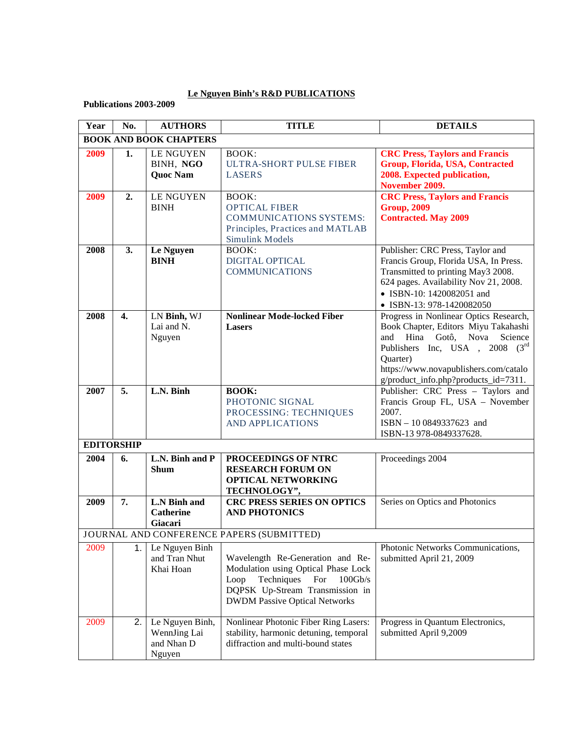## **Le Nguyen Binh's R&D PUBLICATIONS**

**Publications 2003-2009**

| Year | No.               | <b>AUTHORS</b>                                          | <b>TITLE</b>                                                                                                                                                                               | <b>DETAILS</b>                                                                                                                                                                                                                                  |
|------|-------------------|---------------------------------------------------------|--------------------------------------------------------------------------------------------------------------------------------------------------------------------------------------------|-------------------------------------------------------------------------------------------------------------------------------------------------------------------------------------------------------------------------------------------------|
|      |                   | <b>BOOK AND BOOK CHAPTERS</b>                           |                                                                                                                                                                                            |                                                                                                                                                                                                                                                 |
| 2009 | 1.                | <b>LE NGUYEN</b><br>BINH, NGO<br><b>Quoc Nam</b>        | <b>BOOK:</b><br><b>ULTRA-SHORT PULSE FIBER</b><br><b>LASERS</b>                                                                                                                            | <b>CRC</b> Press, Taylors and Francis<br>Group, Florida, USA, Contracted<br>2008. Expected publication,<br>November 2009.                                                                                                                       |
| 2009 | 2.                | <b>LE NGUYEN</b><br><b>BINH</b>                         | <b>BOOK:</b><br><b>OPTICAL FIBER</b><br><b>COMMUNICATIONS SYSTEMS:</b><br>Principles, Practices and MATLAB<br><b>Simulink Models</b>                                                       | <b>CRC Press, Taylors and Francis</b><br><b>Group, 2009</b><br><b>Contracted. May 2009</b>                                                                                                                                                      |
| 2008 | 3.                | Le Nguyen<br><b>BINH</b>                                | <b>BOOK:</b><br>DIGITAL OPTICAL<br><b>COMMUNICATIONS</b>                                                                                                                                   | Publisher: CRC Press, Taylor and<br>Francis Group, Florida USA, In Press.<br>Transmitted to printing May3 2008.<br>624 pages. Availability Nov 21, 2008.<br>• ISBN-10: 1420082051 and<br>• ISBN-13: 978-1420082050                              |
| 2008 | $\overline{4}$ .  | LN Binh, WJ<br>Lai and N.<br>Nguyen                     | <b>Nonlinear Mode-locked Fiber</b><br><b>Lasers</b>                                                                                                                                        | Progress in Nonlinear Optics Research,<br>Book Chapter, Editors Miyu Takahashi<br>and Hina Gotô, Nova<br>Science<br>Publishers Inc, USA, 2008 (3rd<br>Quarter)<br>https://www.novapublishers.com/catalo<br>g/product_info.php?products_id=7311. |
| 2007 | 5.                | L.N. Binh                                               | <b>BOOK:</b><br>PHOTONIC SIGNAL<br>PROCESSING: TECHNIQUES<br><b>AND APPLICATIONS</b>                                                                                                       | Publisher: CRC Press - Taylors and<br>Francis Group FL, USA - November<br>2007.<br>ISBN - 10 0849337623 and<br>ISBN-13 978-0849337628.                                                                                                          |
|      | <b>EDITORSHIP</b> |                                                         |                                                                                                                                                                                            |                                                                                                                                                                                                                                                 |
| 2004 | 6.                | L.N. Binh and P<br><b>Shum</b>                          | PROCEEDINGS OF NTRC<br><b>RESEARCH FORUM ON</b><br><b>OPTICAL NETWORKING</b><br>TECHNOLOGY",                                                                                               | Proceedings 2004                                                                                                                                                                                                                                |
| 2009 | 7.                | L.N Binh and<br><b>Catherine</b><br>Giacari             | <b>CRC PRESS SERIES ON OPTICS</b><br><b>AND PHOTONICS</b>                                                                                                                                  | Series on Optics and Photonics                                                                                                                                                                                                                  |
|      |                   |                                                         | JOURNAL AND CONFERENCE PAPERS (SUBMITTED)                                                                                                                                                  |                                                                                                                                                                                                                                                 |
| 2009 | 1.                | Le Nguyen Binh<br>and Tran Nhut<br>Khai Hoan            | Wavelength Re-Generation and Re-<br>Modulation using Optical Phase Lock<br>Techniques<br>Loop<br>For<br>100Gb/s<br>DQPSK Up-Stream Transmission in<br><b>DWDM Passive Optical Networks</b> | Photonic Networks Communications,<br>submitted April 21, 2009                                                                                                                                                                                   |
| 2009 | 2.                | Le Nguyen Binh,<br>WennJing Lai<br>and Nhan D<br>Nguyen | Nonlinear Photonic Fiber Ring Lasers:<br>stability, harmonic detuning, temporal<br>diffraction and multi-bound states                                                                      | Progress in Quantum Electronics,<br>submitted April 9,2009                                                                                                                                                                                      |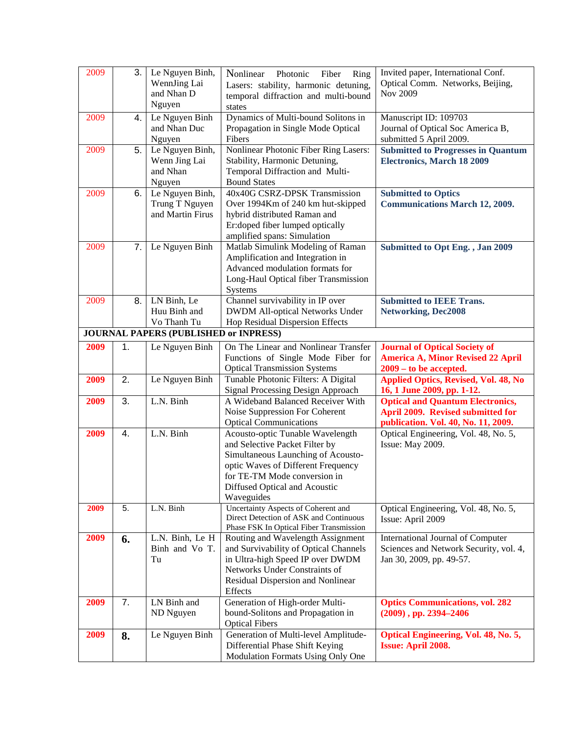| 2009 | 3.               | Le Nguyen Binh,<br>WennJing Lai<br>and Nhan D<br>Nguyen | Nonlinear<br>Photonic<br>Fiber<br>Ring<br>Lasers: stability, harmonic detuning,<br>temporal diffraction and multi-bound<br>states                                                                                             | Invited paper, International Conf.<br>Optical Comm. Networks, Beijing,<br>Nov 2009                                  |
|------|------------------|---------------------------------------------------------|-------------------------------------------------------------------------------------------------------------------------------------------------------------------------------------------------------------------------------|---------------------------------------------------------------------------------------------------------------------|
| 2009 | 4.               | Le Nguyen Binh<br>and Nhan Duc<br>Nguyen                | Dynamics of Multi-bound Solitons in<br>Propagation in Single Mode Optical<br>Fibers                                                                                                                                           | Manuscript ID: 109703<br>Journal of Optical Soc America B,<br>submitted 5 April 2009.                               |
| 2009 | 5.               | Le Nguyen Binh,<br>Wenn Jing Lai<br>and Nhan<br>Nguyen  | Nonlinear Photonic Fiber Ring Lasers:<br>Stability, Harmonic Detuning,<br>Temporal Diffraction and Multi-<br><b>Bound States</b>                                                                                              | <b>Submitted to Progresses in Quantum</b><br><b>Electronics, March 18 2009</b>                                      |
| 2009 | 6.               | Le Nguyen Binh,<br>Trung T Nguyen<br>and Martin Firus   | 40x40G CSRZ-DPSK Transmission<br>Over 1994Km of 240 km hut-skipped<br>hybrid distributed Raman and<br>Er:doped fiber lumped optically<br>amplified spans: Simulation                                                          | <b>Submitted to Optics</b><br><b>Communications March 12, 2009.</b>                                                 |
| 2009 | 7.               | Le Nguyen Binh                                          | Matlab Simulink Modeling of Raman<br>Amplification and Integration in<br>Advanced modulation formats for<br>Long-Haul Optical fiber Transmission<br>Systems                                                                   | Submitted to Opt Eng., Jan 2009                                                                                     |
| 2009 | 8.               | LN Binh, Le<br>Huu Binh and<br>Vo Thanh Tu              | Channel survivability in IP over<br><b>DWDM All-optical Networks Under</b><br>Hop Residual Dispersion Effects                                                                                                                 | <b>Submitted to IEEE Trans.</b><br><b>Networking, Dec2008</b>                                                       |
|      |                  | <b>JOURNAL PAPERS (PUBLISHED or INPRESS)</b>            |                                                                                                                                                                                                                               |                                                                                                                     |
| 2009 | 1.               | Le Nguyen Binh                                          | On The Linear and Nonlinear Transfer<br>Functions of Single Mode Fiber for<br><b>Optical Transmission Systems</b>                                                                                                             | <b>Journal of Optical Society of</b><br><b>America A, Minor Revised 22 April</b><br>$2009 -$ to be accepted.        |
| 2009 | 2.               | Le Nguyen Binh                                          | Tunable Photonic Filters: A Digital<br>Signal Processing Design Approach                                                                                                                                                      | <b>Applied Optics, Revised, Vol. 48, No</b><br>16, 1 June 2009, pp. 1-12.                                           |
| 2009 | 3.               | L.N. Binh                                               | A Wideband Balanced Receiver With<br>Noise Suppression For Coherent<br><b>Optical Communications</b>                                                                                                                          | <b>Optical and Quantum Electronics,</b><br>April 2009. Revised submitted for<br>publication. Vol. 40, No. 11, 2009. |
| 2009 | 4.               | L.N. Binh                                               | Acousto-optic Tunable Wavelength<br>and Selective Packet Filter by<br>Simultaneous Launching of Acousto-<br>optic Waves of Different Frequency<br>for TE-TM Mode conversion in<br>Diffused Optical and Acoustic<br>Waveguides | Optical Engineering, Vol. 48, No. 5,<br>Issue: May 2009.                                                            |
| 2009 | $\overline{5}$ . | L.N. Binh                                               | Uncertainty Aspects of Coherent and<br>Direct Detection of ASK and Continuous<br>Phase FSK In Optical Fiber Transmission                                                                                                      | Optical Engineering, Vol. 48, No. 5,<br>Issue: April 2009                                                           |
| 2009 | 6.               | L.N. Binh, Le H<br>Binh and Vo T.<br>Tu                 | Routing and Wavelength Assignment<br>and Survivability of Optical Channels<br>in Ultra-high Speed IP over DWDM<br>Networks Under Constraints of<br>Residual Dispersion and Nonlinear<br>Effects                               | International Journal of Computer<br>Sciences and Network Security, vol. 4,<br>Jan 30, 2009, pp. 49-57.             |
| 2009 | 7.               | LN Binh and<br>ND Nguyen                                | Generation of High-order Multi-<br>bound-Solitons and Propagation in<br><b>Optical Fibers</b>                                                                                                                                 | <b>Optics Communications, vol. 282</b><br>$(2009)$ , pp. 2394-2406                                                  |
| 2009 | 8.               | Le Nguyen Binh                                          | Generation of Multi-level Amplitude-<br>Differential Phase Shift Keying<br>Modulation Formats Using Only One                                                                                                                  | Optical Engineering, Vol. 48, No. 5,<br><b>Issue: April 2008.</b>                                                   |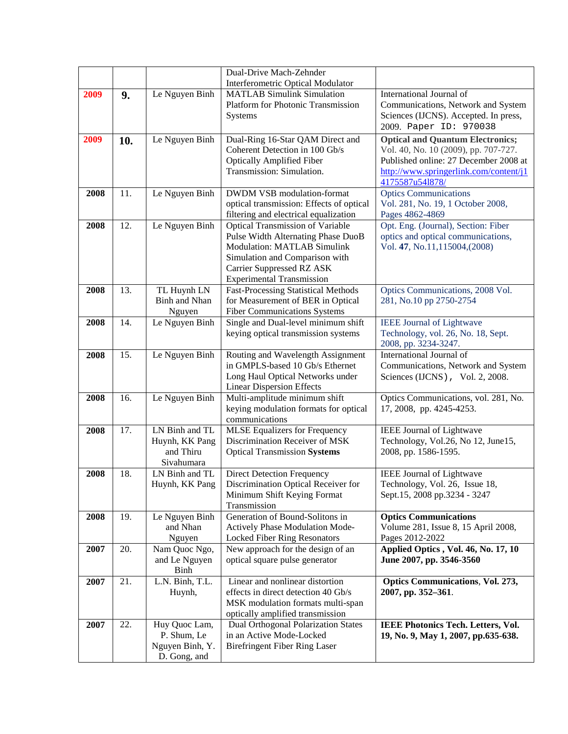|      |     |                                                                 | Dual-Drive Mach-Zehnder                                                                                                                                                                                                |                                                                                                                                                                                       |
|------|-----|-----------------------------------------------------------------|------------------------------------------------------------------------------------------------------------------------------------------------------------------------------------------------------------------------|---------------------------------------------------------------------------------------------------------------------------------------------------------------------------------------|
|      |     |                                                                 | Interferometric Optical Modulator                                                                                                                                                                                      |                                                                                                                                                                                       |
| 2009 | 9.  | Le Nguyen Binh                                                  | <b>MATLAB Simulink Simulation</b><br><b>Platform for Photonic Transmission</b><br>Systems                                                                                                                              | International Journal of<br>Communications, Network and System<br>Sciences (IJCNS). Accepted. In press,<br>2009. Paper ID: 970038                                                     |
| 2009 | 10. | Le Nguyen Binh                                                  | Dual-Ring 16-Star QAM Direct and<br>Coherent Detection in 100 Gb/s<br><b>Optically Amplified Fiber</b><br>Transmission: Simulation.                                                                                    | <b>Optical and Quantum Electronics;</b><br>Vol. 40, No. 10 (2009), pp. 707-727.<br>Published online: 27 December 2008 at<br>http://www.springerlink.com/content/j1<br>4175587u541878/ |
| 2008 | 11. | Le Nguyen Binh                                                  | <b>DWDM VSB</b> modulation-format<br>optical transmission: Effects of optical<br>filtering and electrical equalization                                                                                                 | <b>Optics Communications</b><br>Vol. 281, No. 19, 1 October 2008,<br>Pages 4862-4869                                                                                                  |
| 2008 | 12. | Le Nguyen Binh                                                  | <b>Optical Transmission of Variable</b><br>Pulse Width Alternating Phase DuoB<br>Modulation: MATLAB Simulink<br>Simulation and Comparison with<br><b>Carrier Suppressed RZ ASK</b><br><b>Experimental Transmission</b> | Opt. Eng. (Journal), Section: Fiber<br>optics and optical communications,<br>Vol. 47, No.11,115004,(2008)                                                                             |
| 2008 | 13. | TL Huynh LN<br><b>Binh and Nhan</b><br>Nguyen                   | <b>Fast-Processing Statistical Methods</b><br>for Measurement of BER in Optical<br><b>Fiber Communications Systems</b>                                                                                                 | Optics Communications, 2008 Vol.<br>281, No.10 pp 2750-2754                                                                                                                           |
| 2008 | 14. | Le Nguyen Binh                                                  | Single and Dual-level minimum shift<br>keying optical transmission systems                                                                                                                                             | <b>IEEE Journal of Lightwave</b><br>Technology, vol. 26, No. 18, Sept.<br>2008, pp. 3234-3247.                                                                                        |
| 2008 | 15. | Le Nguyen Binh                                                  | Routing and Wavelength Assignment<br>in GMPLS-based 10 Gb/s Ethernet<br>Long Haul Optical Networks under<br><b>Linear Dispersion Effects</b>                                                                           | International Journal of<br>Communications, Network and System<br>Sciences (IJCNS), Vol. 2, 2008.                                                                                     |
| 2008 | 16. | Le Nguyen Binh                                                  | Multi-amplitude minimum shift<br>keying modulation formats for optical<br>communications                                                                                                                               | Optics Communications, vol. 281, No.<br>17, 2008, pp. 4245-4253.                                                                                                                      |
| 2008 | 17. | LN Binh and TL<br>Huynh, KK Pang<br>and Thiru<br>Sivahumara     | <b>MLSE</b> Equalizers for Frequency<br>Discrimination Receiver of MSK<br><b>Optical Transmission Systems</b>                                                                                                          | <b>IEEE Journal of Lightwave</b><br>Technology, Vol.26, No 12, June15,<br>2008, pp. 1586-1595.                                                                                        |
| 2008 | 18. | LN Binh and TL<br>Huynh, KK Pang                                | <b>Direct Detection Frequency</b><br>Discrimination Optical Receiver for<br>Minimum Shift Keying Format<br>Transmission                                                                                                | IEEE Journal of Lightwave<br>Technology, Vol. 26, Issue 18,<br>Sept.15, 2008 pp.3234 - 3247                                                                                           |
| 2008 | 19. | Le Nguyen Binh<br>and Nhan<br>Nguyen                            | Generation of Bound-Solitons in<br>Actively Phase Modulation Mode-<br>Locked Fiber Ring Resonators                                                                                                                     | <b>Optics Communications</b><br>Volume 281, Issue 8, 15 April 2008,<br>Pages 2012-2022                                                                                                |
| 2007 | 20. | Nam Quoc Ngo,<br>and Le Nguyen<br>Binh                          | New approach for the design of an<br>optical square pulse generator                                                                                                                                                    | Applied Optics, Vol. 46, No. 17, 10<br>June 2007, pp. 3546-3560                                                                                                                       |
| 2007 | 21. | L.N. Binh, T.L.<br>Huynh,                                       | Linear and nonlinear distortion<br>effects in direct detection 40 Gb/s<br>MSK modulation formats multi-span<br>optically amplified transmission                                                                        | <b>Optics Communications, Vol. 273,</b><br>2007, pp. 352-361.                                                                                                                         |
| 2007 | 22. | Huy Quoc Lam,<br>P. Shum, Le<br>Nguyen Binh, Y.<br>D. Gong, and | Dual Orthogonal Polarization States<br>in an Active Mode-Locked<br><b>Birefringent Fiber Ring Laser</b>                                                                                                                | <b>IEEE Photonics Tech. Letters, Vol.</b><br>19, No. 9, May 1, 2007, pp.635-638.                                                                                                      |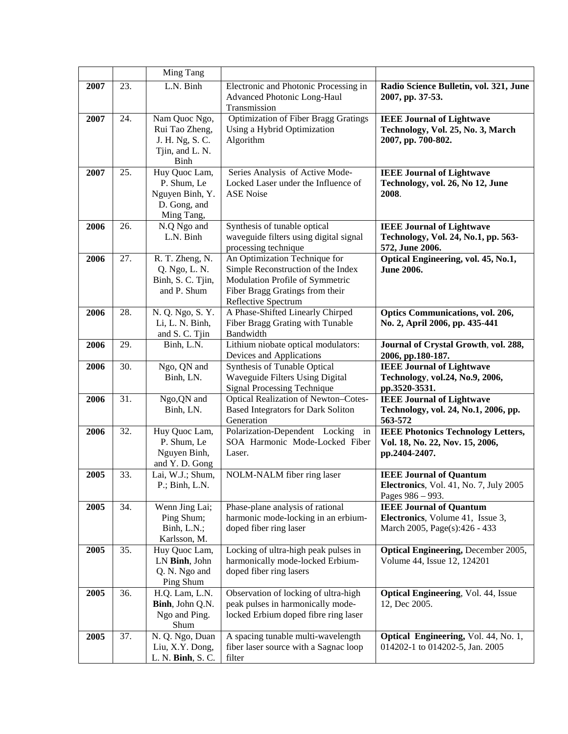|      |     | Ming Tang                                                                            |                                                                                                                                                                  |                                                                                                      |
|------|-----|--------------------------------------------------------------------------------------|------------------------------------------------------------------------------------------------------------------------------------------------------------------|------------------------------------------------------------------------------------------------------|
| 2007 | 23. | L.N. Binh                                                                            | Electronic and Photonic Processing in<br>Advanced Photonic Long-Haul<br>Transmission                                                                             | Radio Science Bulletin, vol. 321, June<br>2007, pp. 37-53.                                           |
| 2007 | 24. | Nam Quoc Ngo,<br>Rui Tao Zheng,<br>J. H. Ng, S. C.<br>Tjin, and L. N.<br><b>Binh</b> | <b>Optimization of Fiber Bragg Gratings</b><br>Using a Hybrid Optimization<br>Algorithm                                                                          | <b>IEEE Journal of Lightwave</b><br>Technology, Vol. 25, No. 3, March<br>2007, pp. 700-802.          |
| 2007 | 25. | Huy Quoc Lam,<br>P. Shum, Le<br>Nguyen Binh, Y.<br>D. Gong, and<br>Ming Tang,        | Series Analysis of Active Mode-<br>Locked Laser under the Influence of<br><b>ASE Noise</b>                                                                       | <b>IEEE Journal of Lightwave</b><br>Technology, vol. 26, No 12, June<br>2008.                        |
| 2006 | 26. | N.Q Ngo and<br>L.N. Binh                                                             | Synthesis of tunable optical<br>waveguide filters using digital signal<br>processing technique                                                                   | <b>IEEE Journal of Lightwave</b><br>Technology, Vol. 24, No.1, pp. 563-<br>572, June 2006.           |
| 2006 | 27. | R. T. Zheng, N.<br>Q. Ngo, L. N.<br>Binh, S. C. Tjin,<br>and P. Shum                 | An Optimization Technique for<br>Simple Reconstruction of the Index<br>Modulation Profile of Symmetric<br>Fiber Bragg Gratings from their<br>Reflective Spectrum | Optical Engineering, vol. 45, No.1,<br><b>June 2006.</b>                                             |
| 2006 | 28. | N. Q. Ngo, S. Y.<br>Li, L. N. Binh,<br>and S. C. Tjin                                | A Phase-Shifted Linearly Chirped<br>Fiber Bragg Grating with Tunable<br>Bandwidth                                                                                | <b>Optics Communications, vol. 206,</b><br>No. 2, April 2006, pp. 435-441                            |
| 2006 | 29. | Binh, L.N.                                                                           | Lithium niobate optical modulators:<br>Devices and Applications                                                                                                  | Journal of Crystal Growth, vol. 288,<br>2006, pp.180-187.                                            |
| 2006 | 30. | Ngo, QN and<br>Binh, LN.                                                             | Synthesis of Tunable Optical<br>Waveguide Filters Using Digital<br>Signal Processing Technique                                                                   | <b>IEEE Journal of Lightwave</b><br>Technology, vol.24, No.9, 2006,<br>pp.3520-3531.                 |
| 2006 | 31. | Ngo, QN and<br>Binh, LN.                                                             | Optical Realization of Newton-Cotes-<br><b>Based Integrators for Dark Soliton</b><br>Generation                                                                  | <b>IEEE Journal of Lightwave</b><br>Technology, vol. 24, No.1, 2006, pp.<br>563-572                  |
| 2006 | 32. | Huy Quoc Lam,<br>P. Shum, Le<br>Nguyen Binh,<br>and Y.D. Gong                        | Polarization-Dependent Locking<br>in<br>SOA Harmonic Mode-Locked Fiber<br>Laser.                                                                                 | <b>IEEE Photonics Technology Letters,</b><br>Vol. 18, No. 22, Nov. 15, 2006,<br>pp.2404-2407.        |
| 2005 | 33. | Lai, W.J.; Shum,<br>$P$ .; Binh, L.N.                                                | NOLM-NALM fiber ring laser                                                                                                                                       | <b>IEEE Journal of Quantum</b><br><b>Electronics</b> , Vol. 41, No. 7, July 2005<br>Pages 986 - 993. |
| 2005 | 34. | Wenn Jing Lai;<br>Ping Shum;<br>Binh, L.N.;<br>Karlsson, M.                          | Phase-plane analysis of rational<br>harmonic mode-locking in an erbium-<br>doped fiber ring laser                                                                | <b>IEEE Journal of Quantum</b><br>Electronics, Volume 41, Issue 3,<br>March 2005, Page(s):426 - 433  |
| 2005 | 35. | Huy Quoc Lam,<br>LN Binh, John<br>Q. N. Ngo and<br>Ping Shum                         | Locking of ultra-high peak pulses in<br>harmonically mode-locked Erbium-<br>doped fiber ring lasers                                                              | <b>Optical Engineering, December 2005,</b><br>Volume 44, Issue 12, 124201                            |
| 2005 | 36. | H.Q. Lam, L.N.<br>Binh, John Q.N.<br>Ngo and Ping.<br>Shum                           | Observation of locking of ultra-high<br>peak pulses in harmonically mode-<br>locked Erbium doped fibre ring laser                                                | <b>Optical Engineering, Vol. 44, Issue</b><br>12, Dec 2005.                                          |
| 2005 | 37. | N. Q. Ngo, Duan<br>Liu, X.Y. Dong,<br>L. N. <b>Binh</b> , S. C.                      | A spacing tunable multi-wavelength<br>fiber laser source with a Sagnac loop<br>filter                                                                            | Optical Engineering, Vol. 44, No. 1,<br>014202-1 to 014202-5, Jan. 2005                              |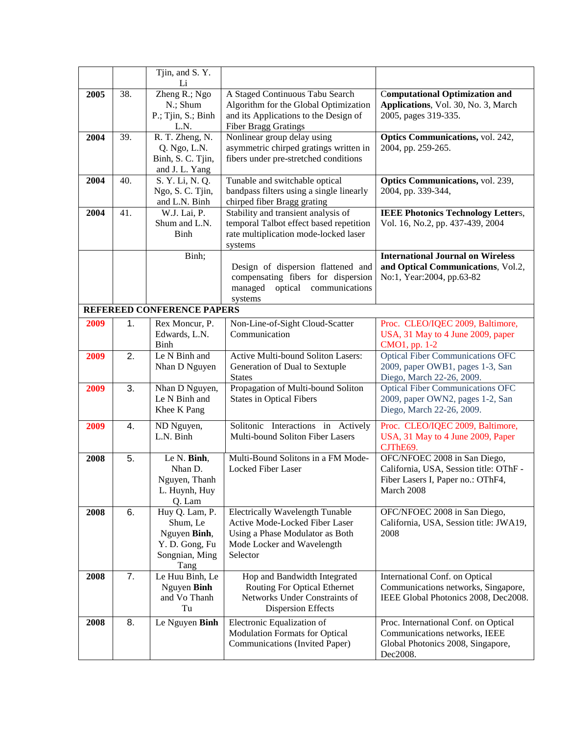|      |     | Tjin, and S.Y.<br>Li                                                                   |                                                                                                                                                       |                                                                                                                           |
|------|-----|----------------------------------------------------------------------------------------|-------------------------------------------------------------------------------------------------------------------------------------------------------|---------------------------------------------------------------------------------------------------------------------------|
| 2005 | 38. | Zheng R.; Ngo<br>N.; Shum<br>P.; Tjin, S.; Binh<br>L.N.                                | A Staged Continuous Tabu Search<br>Algorithm for the Global Optimization<br>and its Applications to the Design of<br><b>Fiber Bragg Gratings</b>      | <b>Computational Optimization and</b><br>Applications, Vol. 30, No. 3, March<br>2005, pages 319-335.                      |
| 2004 | 39. | R. T. Zheng, N.<br>Q. Ngo, L.N.<br>Binh, S. C. Tjin,<br>and J. L. Yang                 | Nonlinear group delay using<br>asymmetric chirped gratings written in<br>fibers under pre-stretched conditions                                        | <b>Optics Communications, vol. 242,</b><br>2004, pp. 259-265.                                                             |
| 2004 | 40. | S. Y. Li, N. Q.<br>Ngo, S. C. Tjin,<br>and L.N. Binh                                   | Tunable and switchable optical<br>bandpass filters using a single linearly<br>chirped fiber Bragg grating                                             | Optics Communications, vol. 239,<br>2004, pp. 339-344,                                                                    |
| 2004 | 41. | W.J. Lai, P.<br>Shum and L.N.<br><b>Binh</b>                                           | Stability and transient analysis of<br>temporal Talbot effect based repetition<br>rate multiplication mode-locked laser<br>systems                    | <b>IEEE Photonics Technology Letters,</b><br>Vol. 16, No.2, pp. 437-439, 2004                                             |
|      |     | Binh;                                                                                  | Design of dispersion flattened and<br>compensating fibers for dispersion<br>optical communications<br>managed<br>systems                              | <b>International Journal on Wireless</b><br>and Optical Communications, Vol.2,<br>No:1, Year:2004, pp.63-82               |
|      |     | REFEREED CONFERENCE PAPERS                                                             |                                                                                                                                                       |                                                                                                                           |
| 2009 | 1.  | Rex Moncur, P.<br>Edwards, L.N.<br>Binh                                                | Non-Line-of-Sight Cloud-Scatter<br>Communication                                                                                                      | Proc. CLEO/IQEC 2009, Baltimore,<br>USA, 31 May to 4 June 2009, paper<br>CMO1, pp. 1-2                                    |
| 2009 | 2.  | Le N Binh and<br>Nhan D Nguyen                                                         | Active Multi-bound Soliton Lasers:<br>Generation of Dual to Sextuple<br><b>States</b>                                                                 | <b>Optical Fiber Communications OFC</b><br>2009, paper OWB1, pages 1-3, San<br>Diego, March 22-26, 2009.                  |
| 2009 | 3.  | Nhan D Nguyen,<br>Le N Binh and<br>Khee K Pang                                         | Propagation of Multi-bound Soliton<br><b>States in Optical Fibers</b>                                                                                 | <b>Optical Fiber Communications OFC</b><br>2009, paper OWN2, pages 1-2, San<br>Diego, March 22-26, 2009.                  |
| 2009 | 4.  | ND Nguyen,<br>L.N. Binh                                                                | Solitonic Interactions in Actively<br>Multi-bound Soliton Fiber Lasers                                                                                | Proc. CLEO/IQEC 2009, Baltimore,<br>USA, 31 May to 4 June 2009, Paper<br>CJThE69.                                         |
| 2008 | 5.  | Le N. Binh,<br>Nhan D.<br>Nguyen, Thanh<br>L. Huynh, Huy<br>Q. Lam                     | Multi-Bound Solitons in a FM Mode-<br><b>Locked Fiber Laser</b>                                                                                       | OFC/NFOEC 2008 in San Diego,<br>California, USA, Session title: OThF -<br>Fiber Lasers I, Paper no.: OThF4,<br>March 2008 |
| 2008 | 6.  | Huy Q. Lam, P.<br>Shum, Le<br>Nguyen Binh,<br>Y. D. Gong, Fu<br>Songnian, Ming<br>Tang | <b>Electrically Wavelength Tunable</b><br>Active Mode-Locked Fiber Laser<br>Using a Phase Modulator as Both<br>Mode Locker and Wavelength<br>Selector | OFC/NFOEC 2008 in San Diego,<br>California, USA, Session title: JWA19,<br>2008                                            |
| 2008 | 7.  | Le Huu Binh, Le<br>Nguyen Binh<br>and Vo Thanh<br>Tu                                   | Hop and Bandwidth Integrated<br>Routing For Optical Ethernet<br>Networks Under Constraints of<br><b>Dispersion Effects</b>                            | International Conf. on Optical<br>Communications networks, Singapore,<br>IEEE Global Photonics 2008, Dec2008.             |
| 2008 | 8.  | Le Nguyen Binh                                                                         | Electronic Equalization of<br><b>Modulation Formats for Optical</b><br>Communications (Invited Paper)                                                 | Proc. International Conf. on Optical<br>Communications networks, IEEE<br>Global Photonics 2008, Singapore,<br>Dec2008.    |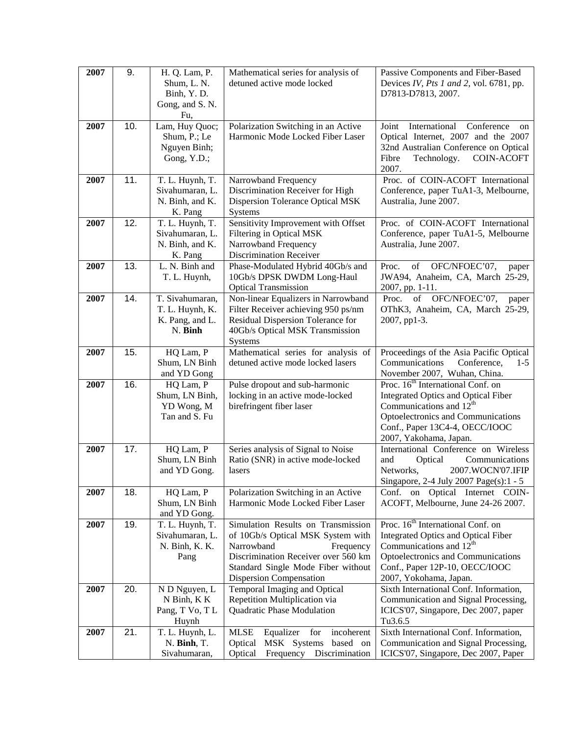| 2007 | 9.  | H. Q. Lam, P.<br>Shum, L. N.       | Mathematical series for analysis of<br>detuned active mode locked         | Passive Components and Fiber-Based<br>Devices IV, Pts 1 and 2, vol. 6781, pp. |
|------|-----|------------------------------------|---------------------------------------------------------------------------|-------------------------------------------------------------------------------|
|      |     | Binh, Y.D.<br>Gong, and S. N.      |                                                                           | D7813-D7813, 2007.                                                            |
|      |     | Fu,                                |                                                                           |                                                                               |
| 2007 | 10. | Lam, Huy Quoc;                     | Polarization Switching in an Active                                       | International<br>Conference<br>Joint<br>on                                    |
|      |     | Shum, P.; Le<br>Nguyen Binh;       | Harmonic Mode Locked Fiber Laser                                          | Optical Internet, 2007 and the 2007<br>32nd Australian Conference on Optical  |
|      |     | Gong, Y.D.;                        |                                                                           | Fibre<br><b>COIN-ACOFT</b><br>Technology.                                     |
|      |     |                                    |                                                                           | 2007.                                                                         |
| 2007 | 11. | T. L. Huynh, T.<br>Sivahumaran, L. | Narrowband Frequency<br>Discrimination Receiver for High                  | Proc. of COIN-ACOFT International<br>Conference, paper TuA1-3, Melbourne,     |
|      |     | N. Binh, and K.                    | <b>Dispersion Tolerance Optical MSK</b>                                   | Australia, June 2007.                                                         |
|      |     | K. Pang                            | Systems                                                                   |                                                                               |
| 2007 | 12. | T. L. Huynh, T.<br>Sivahumaran, L. | Sensitivity Improvement with Offset<br>Filtering in Optical MSK           | Proc. of COIN-ACOFT International<br>Conference, paper TuA1-5, Melbourne      |
|      |     | N. Binh, and K.                    | Narrowband Frequency                                                      | Australia, June 2007.                                                         |
|      |     | K. Pang                            | <b>Discrimination Receiver</b>                                            |                                                                               |
| 2007 | 13. | L. N. Binh and                     | Phase-Modulated Hybrid 40Gb/s and                                         | OFC/NFOEC'07,<br>Proc.<br>of<br>paper                                         |
|      |     | T. L. Huynh,                       | 10Gb/s DPSK DWDM Long-Haul<br><b>Optical Transmission</b>                 | JWA94, Anaheim, CA, March 25-29,<br>2007, pp. 1-11.                           |
| 2007 | 14. | T. Sivahumaran,                    | Non-linear Equalizers in Narrowband                                       | of OFC/NFOEC'07,<br>Proc.<br>paper                                            |
|      |     | T. L. Huynh, K.                    | Filter Receiver achieving 950 ps/nm                                       | OThK3, Anaheim, CA, March 25-29,                                              |
|      |     | K. Pang, and L.<br>N. Binh         | Residual Dispersion Tolerance for<br>40Gb/s Optical MSK Transmission      | 2007, pp1-3.                                                                  |
|      |     |                                    | Systems                                                                   |                                                                               |
| 2007 | 15. | HQ Lam, P                          | Mathematical series for analysis of                                       | Proceedings of the Asia Pacific Optical                                       |
|      |     | Shum, LN Binh<br>and YD Gong       | detuned active mode locked lasers                                         | Communications<br>Conference,<br>$1-5$<br>November 2007, Wuhan, China.        |
| 2007 | 16. | HQ Lam, P                          | Pulse dropout and sub-harmonic                                            | Proc. 16 <sup>th</sup> International Conf. on                                 |
|      |     | Shum, LN Binh,                     | locking in an active mode-locked                                          | <b>Integrated Optics and Optical Fiber</b>                                    |
|      |     | YD Wong, M                         | birefringent fiber laser                                                  | Communications and $12th$                                                     |
|      |     | Tan and S. Fu                      |                                                                           | Optoelectronics and Communications<br>Conf., Paper 13C4-4, OECC/IOOC          |
|      |     |                                    |                                                                           | 2007, Yakohama, Japan.                                                        |
| 2007 | 17. | HQ Lam, P                          | Series analysis of Signal to Noise                                        | International Conference on Wireless                                          |
|      |     | Shum, LN Binh<br>and YD Gong.      | Ratio (SNR) in active mode-locked<br>lasers                               | Optical<br>Communications<br>and<br>2007.WOCN'07.IFIP<br>Networks,            |
|      |     |                                    |                                                                           | Singapore, 2-4 July 2007 Page(s):1 - 5                                        |
| 2007 | 18. | HQ Lam, P                          | Polarization Switching in an Active                                       | Conf. on Optical Internet COIN-                                               |
|      |     | Shum, LN Binh<br>and YD Gong.      | Harmonic Mode Locked Fiber Laser                                          | ACOFT, Melbourne, June 24-26 2007.                                            |
| 2007 | 19. | T. L. Huynh, T.                    | Simulation Results on Transmission                                        | Proc. 16 <sup>th</sup> International Conf. on                                 |
|      |     | Sivahumaran, L.                    | of 10Gb/s Optical MSK System with                                         | <b>Integrated Optics and Optical Fiber</b>                                    |
|      |     | N. Binh, K. K.                     | Narrowband<br>Frequency                                                   | Communications and $12th$                                                     |
|      |     | Pang                               | Discrimination Receiver over 560 km<br>Standard Single Mode Fiber without | Optoelectronics and Communications<br>Conf., Paper 12P-10, OECC/IOOC          |
|      |     |                                    | <b>Dispersion Compensation</b>                                            | 2007, Yokohama, Japan.                                                        |
| 2007 | 20. | N D Nguyen, L                      | Temporal Imaging and Optical                                              | Sixth International Conf. Information,                                        |
|      |     | N Binh, K K<br>Pang, T Vo, T L     | Repetition Multiplication via<br>Quadratic Phase Modulation               | Communication and Signal Processing,<br>ICICS'07, Singapore, Dec 2007, paper  |
|      |     | Huynh                              |                                                                           | Tu3.6.5                                                                       |
| 2007 | 21. | T. L. Huynh, L.                    | <b>MLSE</b><br>Equalizer for<br>incoherent                                | Sixth International Conf. Information,                                        |
|      |     | N. Binh, T.<br>Sivahumaran,        | MSK Systems based on<br>Optical<br>Optical<br>Frequency Discrimination    | Communication and Signal Processing,<br>ICICS'07, Singapore, Dec 2007, Paper  |
|      |     |                                    |                                                                           |                                                                               |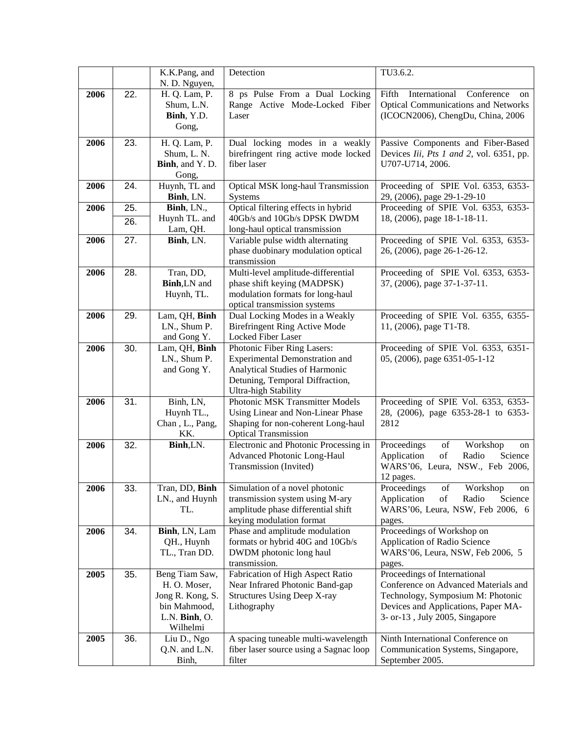|      |     | K.K.Pang, and                     | Detection                                                             | TU3.6.2.                                                                                                                              |
|------|-----|-----------------------------------|-----------------------------------------------------------------------|---------------------------------------------------------------------------------------------------------------------------------------|
|      |     | N. D. Nguyen,                     |                                                                       |                                                                                                                                       |
| 2006 | 22. | H. Q. Lam, P.<br>Shum, L.N.       | 8 ps Pulse From a Dual Locking<br>Range Active Mode-Locked Fiber      | International<br>Conference<br>Fifth<br>on<br><b>Optical Communications and Networks</b>                                              |
|      |     | Binh, Y.D.                        | Laser                                                                 | (ICOCN2006), ChengDu, China, 2006                                                                                                     |
|      |     | Gong,                             |                                                                       |                                                                                                                                       |
| 2006 | 23. | H. Q. Lam, P.                     | Dual locking modes in a weakly                                        | Passive Components and Fiber-Based                                                                                                    |
|      |     | Shum, L. N.<br>Binh, and Y.D.     | birefringent ring active mode locked<br>fiber laser                   | Devices Iii, Pts 1 and 2, vol. 6351, pp.<br>U707-U714, 2006.                                                                          |
|      |     | Gong,                             |                                                                       |                                                                                                                                       |
| 2006 | 24. | Huynh, TL and                     | Optical MSK long-haul Transmission                                    | Proceeding of SPIE Vol. 6353, 6353-                                                                                                   |
|      |     | Binh, LN.                         | Systems                                                               | 29, (2006), page 29-1-29-10                                                                                                           |
| 2006 | 25. | Binh, LN.,                        | Optical filtering effects in hybrid                                   | Proceeding of SPIE Vol. 6353, 6353-                                                                                                   |
|      | 26. | Huynh TL. and<br>Lam, QH.         | 40Gb/s and 10Gb/s DPSK DWDM<br>long-haul optical transmission         | 18, (2006), page 18-1-18-11.                                                                                                          |
| 2006 | 27. | Binh, LN.                         | Variable pulse width alternating                                      | Proceeding of SPIE Vol. 6353, 6353-                                                                                                   |
|      |     |                                   | phase duobinary modulation optical                                    | 26, (2006), page 26-1-26-12.                                                                                                          |
|      |     |                                   | transmission                                                          |                                                                                                                                       |
| 2006 | 28. | Tran, DD,                         | Multi-level amplitude-differential                                    | Proceeding of SPIE Vol. 6353, 6353-                                                                                                   |
|      |     | <b>Binh, LN</b> and<br>Huynh, TL. | phase shift keying (MADPSK)<br>modulation formats for long-haul       | 37, (2006), page 37-1-37-11.                                                                                                          |
|      |     |                                   | optical transmission systems                                          |                                                                                                                                       |
| 2006 | 29. | Lam, QH, Binh                     | Dual Locking Modes in a Weakly                                        | Proceeding of SPIE Vol. 6355, 6355-                                                                                                   |
|      |     | LN., Shum P.                      | <b>Birefringent Ring Active Mode</b>                                  | 11, (2006), page T1-T8.                                                                                                               |
|      |     | and Gong Y.                       | Locked Fiber Laser                                                    |                                                                                                                                       |
| 2006 | 30. | Lam, QH, Binh<br>LN., Shum P.     | Photonic Fiber Ring Lasers:<br><b>Experimental Demonstration and</b>  | Proceeding of SPIE Vol. 6353, 6351-<br>05, (2006), page 6351-05-1-12                                                                  |
|      |     | and Gong Y.                       | Analytical Studies of Harmonic                                        |                                                                                                                                       |
|      |     |                                   | Detuning, Temporal Diffraction,                                       |                                                                                                                                       |
|      |     |                                   | Ultra-high Stability                                                  |                                                                                                                                       |
| 2006 | 31. | Binh, LN,                         | Photonic MSK Transmitter Models<br>Using Linear and Non-Linear Phase  | Proceeding of SPIE Vol. 6353, 6353-<br>28, (2006), page 6353-28-1 to 6353-                                                            |
|      |     | Huynh TL.,<br>Chan, L., Pang,     | Shaping for non-coherent Long-haul                                    | 2812                                                                                                                                  |
|      |     | KK.                               | <b>Optical Transmission</b>                                           |                                                                                                                                       |
| 2006 | 32. | Binh,LN.                          | Electronic and Photonic Processing in                                 | Proceedings<br>of<br>Workshop<br>on                                                                                                   |
|      |     |                                   | Advanced Photonic Long-Haul                                           | Application<br>$% \left( \left( \mathcal{A},\mathcal{A}\right) \right) =\left( \mathcal{A},\mathcal{A}\right)$ of<br>Radio<br>Science |
|      |     |                                   | Transmission (Invited)                                                | WARS'06, Leura, NSW., Feb 2006,<br>12 pages.                                                                                          |
| 2006 | 33. | Tran, DD, Binh                    | Simulation of a novel photonic                                        | Proceedings<br>Workshop<br>of<br>on                                                                                                   |
|      |     | LN., and Huynh                    | transmission system using M-ary                                       | $_{\mathrm{of}}$<br>Application<br>Radio<br>Science                                                                                   |
|      |     | TL.                               | amplitude phase differential shift                                    | WARS'06, Leura, NSW, Feb 2006, 6                                                                                                      |
| 2006 | 34. | Binh, LN, Lam                     | keying modulation format<br>Phase and amplitude modulation            | pages.<br>Proceedings of Workshop on                                                                                                  |
|      |     | QH., Huynh                        | formats or hybrid 40G and 10Gb/s                                      | Application of Radio Science                                                                                                          |
|      |     | TL., Tran DD.                     | DWDM photonic long haul                                               | WARS'06, Leura, NSW, Feb 2006, 5                                                                                                      |
|      |     |                                   | transmission.                                                         | pages.                                                                                                                                |
| 2005 | 35. | Beng Tiam Saw,                    | Fabrication of High Aspect Ratio                                      | Proceedings of International<br>Conference on Advanced Materials and                                                                  |
|      |     | H.O. Moser,<br>Jong R. Kong, S.   | Near Infrared Photonic Band-gap<br><b>Structures Using Deep X-ray</b> | Technology, Symposium M: Photonic                                                                                                     |
|      |     | bin Mahmood,                      | Lithography                                                           | Devices and Applications, Paper MA-                                                                                                   |
|      |     | L.N. Binh, O.                     |                                                                       | 3- or-13, July 2005, Singapore                                                                                                        |
|      |     | Wilhelmi                          |                                                                       |                                                                                                                                       |
| 2005 | 36. | Liu D., Ngo                       | A spacing tuneable multi-wavelength                                   | Ninth International Conference on                                                                                                     |
|      |     | Q.N. and L.N.<br>Binh,            | fiber laser source using a Sagnac loop<br>filter                      | Communication Systems, Singapore,<br>September 2005.                                                                                  |
|      |     |                                   |                                                                       |                                                                                                                                       |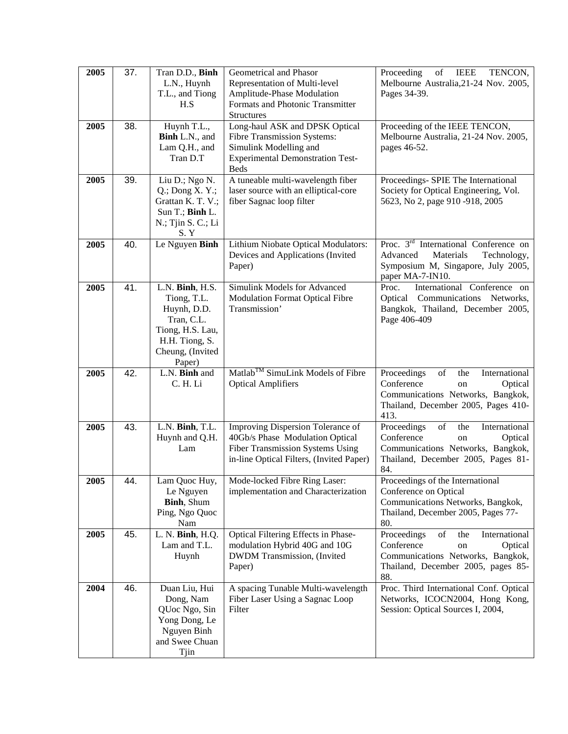| 2005 | 37. | Tran D.D., Binh<br>L.N., Huynh<br>T.L., and Tiong<br>H.S                                                                        | Geometrical and Phasor<br>Representation of Multi-level<br>Amplitude-Phase Modulation<br>Formats and Photonic Transmitter<br><b>Structures</b>              | Proceeding<br>of<br><b>IEEE</b><br>TENCON,<br>Melbourne Australia, 21-24 Nov. 2005,<br>Pages 34-39.                                                          |
|------|-----|---------------------------------------------------------------------------------------------------------------------------------|-------------------------------------------------------------------------------------------------------------------------------------------------------------|--------------------------------------------------------------------------------------------------------------------------------------------------------------|
| 2005 | 38. | Huynh T.L.,<br>Binh L.N., and<br>Lam Q.H., and<br>Tran D.T                                                                      | Long-haul ASK and DPSK Optical<br>Fibre Transmission Systems:<br>Simulink Modelling and<br><b>Experimental Demonstration Test-</b><br><b>Beds</b>           | Proceeding of the IEEE TENCON,<br>Melbourne Australia, 21-24 Nov. 2005,<br>pages 46-52.                                                                      |
| 2005 | 39. | Liu D.; Ngo N.<br>$Q$ .; Dong X. Y.;<br>Grattan K. T. V.;<br>Sun T.; Binh L.<br>$N$ .; Tjin S. C.; Li<br>S.Y                    | A tuneable multi-wavelength fiber<br>laser source with an elliptical-core<br>fiber Sagnac loop filter                                                       | Proceedings- SPIE The International<br>Society for Optical Engineering, Vol.<br>5623, No 2, page 910 -918, 2005                                              |
| 2005 | 40. | Le Nguyen Binh                                                                                                                  | Lithium Niobate Optical Modulators:<br>Devices and Applications (Invited<br>Paper)                                                                          | Proc. 3 <sup>rd</sup> International Conference on<br>Materials<br>Advanced<br>Technology,<br>Symposium M, Singapore, July 2005,<br>paper MA-7-IN10.          |
| 2005 | 41. | L.N. Binh, H.S.<br>Tiong, T.L.<br>Huynh, D.D.<br>Tran, C.L.<br>Tiong, H.S. Lau,<br>H.H. Tiong, S.<br>Cheung, (Invited<br>Paper) | Simulink Models for Advanced<br><b>Modulation Format Optical Fibre</b><br>Transmission'                                                                     | International Conference on<br>Proc.<br>Optical Communications Networks,<br>Bangkok, Thailand, December 2005,<br>Page 406-409                                |
| 2005 | 42. | L.N. Binh and<br>C. H. Li                                                                                                       | Matlab <sup>TM</sup> SimuLink Models of Fibre<br><b>Optical Amplifiers</b>                                                                                  | Proceedings<br>of<br>International<br>the<br>Conference<br>Optical<br>on<br>Communications Networks, Bangkok,<br>Thailand, December 2005, Pages 410-<br>413. |
| 2005 | 43. | L.N. Binh, T.L.<br>Huynh and Q.H.<br>Lam                                                                                        | Improving Dispersion Tolerance of<br>40Gb/s Phase Modulation Optical<br><b>Fiber Transmission Systems Using</b><br>in-line Optical Filters, (Invited Paper) | Proceedings<br>of<br>International<br>the<br>Conference<br>Optical<br>on<br>Communications Networks, Bangkok,<br>Thailand, December 2005, Pages 81-<br>84.   |
| 2005 | 44. | Le Nguyen<br>Binh, Shum<br>Ping, Ngo Quoc<br>Nam                                                                                | Lam Quoc Huy,   Mode-locked Fibre Ring Laser:<br>implementation and Characterization                                                                        | Proceedings of the International<br>Conference on Optical<br>Communications Networks, Bangkok,<br>Thailand, December 2005, Pages 77-<br>80.                  |
| 2005 | 45. | L. N. Binh, H.Q.<br>Lam and T.L.<br>Huynh                                                                                       | Optical Filtering Effects in Phase-<br>modulation Hybrid 40G and 10G<br>DWDM Transmission, (Invited<br>Paper)                                               | Proceedings<br>of<br>International<br>the<br>Conference<br>Optical<br>on<br>Communications Networks, Bangkok,<br>Thailand, December 2005, pages 85-<br>88.   |
| 2004 | 46. | Duan Liu, Hui<br>Dong, Nam<br>QUoc Ngo, Sin<br>Yong Dong, Le<br>Nguyen Binh<br>and Swee Chuan<br>Tjin                           | A spacing Tunable Multi-wavelength<br>Fiber Laser Using a Sagnac Loop<br>Filter                                                                             | Proc. Third International Conf. Optical<br>Networks, ICOCN2004, Hong Kong,<br>Session: Optical Sources I, 2004,                                              |